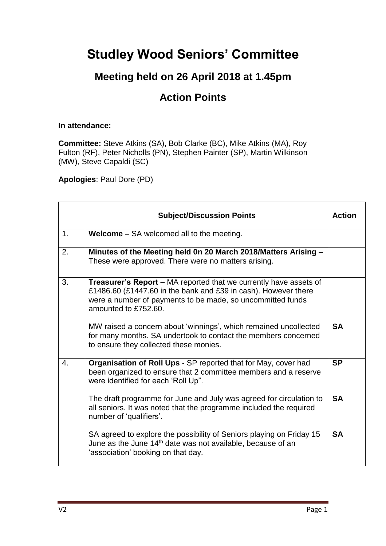## **Studley Wood Seniors' Committee**

## **Meeting held on 26 April 2018 at 1.45pm**

## **Action Points**

## **In attendance:**

**Committee:** Steve Atkins (SA), Bob Clarke (BC), Mike Atkins (MA), Roy Fulton (RF), Peter Nicholls (PN), Stephen Painter (SP), Martin Wilkinson (MW), Steve Capaldi (SC)

**Apologies**: Paul Dore (PD)

|    | <b>Subject/Discussion Points</b>                                                                                                                                                                                          | <b>Action</b> |
|----|---------------------------------------------------------------------------------------------------------------------------------------------------------------------------------------------------------------------------|---------------|
| 1. | <b>Welcome – SA welcomed all to the meeting.</b>                                                                                                                                                                          |               |
| 2. | Minutes of the Meeting held 0n 20 March 2018/Matters Arising -<br>These were approved. There were no matters arising.                                                                                                     |               |
| 3. | Treasurer's Report - MA reported that we currently have assets of<br>£1486.60 (£1447.60 in the bank and £39 in cash). However there<br>were a number of payments to be made, so uncommitted funds<br>amounted to £752.60. |               |
|    | MW raised a concern about 'winnings', which remained uncollected<br>for many months. SA undertook to contact the members concerned<br>to ensure they collected these monies.                                              | <b>SA</b>     |
| 4. | Organisation of Roll Ups - SP reported that for May, cover had<br>been organized to ensure that 2 committee members and a reserve<br>were identified for each 'Roll Up".                                                  | <b>SP</b>     |
|    | The draft programme for June and July was agreed for circulation to<br>all seniors. It was noted that the programme included the required<br>number of 'qualifiers'.                                                      | <b>SA</b>     |
|    | SA agreed to explore the possibility of Seniors playing on Friday 15<br>June as the June 14 <sup>th</sup> date was not available, because of an<br>'association' booking on that day.                                     | <b>SA</b>     |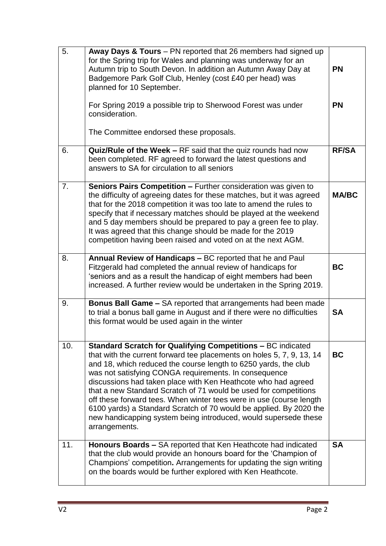| 5.  | Away Days & Tours - PN reported that 26 members had signed up<br>for the Spring trip for Wales and planning was underway for an<br>Autumn trip to South Devon. In addition an Autumn Away Day at<br>Badgemore Park Golf Club, Henley (cost £40 per head) was<br>planned for 10 September.<br>For Spring 2019 a possible trip to Sherwood Forest was under<br>consideration.<br>The Committee endorsed these proposals.                                                                                                                                                                                                                        | <b>PN</b><br><b>PN</b> |
|-----|-----------------------------------------------------------------------------------------------------------------------------------------------------------------------------------------------------------------------------------------------------------------------------------------------------------------------------------------------------------------------------------------------------------------------------------------------------------------------------------------------------------------------------------------------------------------------------------------------------------------------------------------------|------------------------|
| 6.  | Quiz/Rule of the Week - RF said that the quiz rounds had now<br>been completed. RF agreed to forward the latest questions and<br>answers to SA for circulation to all seniors                                                                                                                                                                                                                                                                                                                                                                                                                                                                 | <b>RF/SA</b>           |
| 7.  | Seniors Pairs Competition - Further consideration was given to<br>the difficulty of agreeing dates for these matches, but it was agreed<br>that for the 2018 competition it was too late to amend the rules to<br>specify that if necessary matches should be played at the weekend<br>and 5 day members should be prepared to pay a green fee to play.<br>It was agreed that this change should be made for the 2019<br>competition having been raised and voted on at the next AGM.                                                                                                                                                         | <b>MA/BC</b>           |
| 8.  | Annual Review of Handicaps - BC reported that he and Paul<br>Fitzgerald had completed the annual review of handicaps for<br>'seniors and as a result the handicap of eight members had been<br>increased. A further review would be undertaken in the Spring 2019.                                                                                                                                                                                                                                                                                                                                                                            | <b>BC</b>              |
| 9.  | Bonus Ball Game - SA reported that arrangements had been made<br>to trial a bonus ball game in August and if there were no difficulties<br>this format would be used again in the winter                                                                                                                                                                                                                                                                                                                                                                                                                                                      | <b>SA</b>              |
| 10. | <b>Standard Scratch for Qualifying Competitions - BC indicated</b><br>that with the current forward tee placements on holes 5, 7, 9, 13, 14<br>and 18, which reduced the course length to 6250 yards, the club<br>was not satisfying CONGA requirements. In consequence<br>discussions had taken place with Ken Heathcote who had agreed<br>that a new Standard Scratch of 71 would be used for competitions<br>off these forward tees. When winter tees were in use (course length<br>6100 yards) a Standard Scratch of 70 would be applied. By 2020 the<br>new handicapping system being introduced, would supersede these<br>arrangements. | <b>BC</b>              |
| 11. | Honours Boards - SA reported that Ken Heathcote had indicated<br>that the club would provide an honours board for the 'Champion of<br>Champions' competition. Arrangements for updating the sign writing<br>on the boards would be further explored with Ken Heathcote.                                                                                                                                                                                                                                                                                                                                                                       | <b>SA</b>              |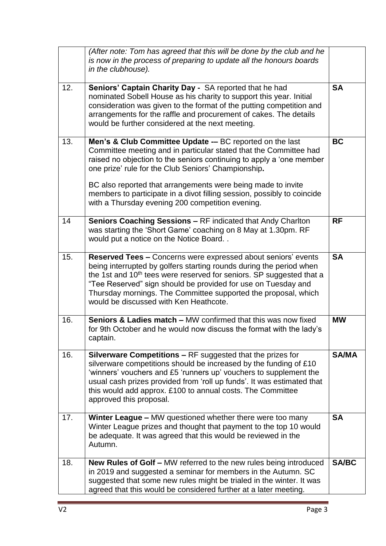|     | (After note: Tom has agreed that this will be done by the club and he<br>is now in the process of preparing to update all the honours boards<br>in the clubhouse).                                                                                                                                                                                                                                    |              |
|-----|-------------------------------------------------------------------------------------------------------------------------------------------------------------------------------------------------------------------------------------------------------------------------------------------------------------------------------------------------------------------------------------------------------|--------------|
| 12. | Seniors' Captain Charity Day - SA reported that he had<br>nominated Sobell House as his charity to support this year. Initial<br>consideration was given to the format of the putting competition and<br>arrangements for the raffle and procurement of cakes. The details<br>would be further considered at the next meeting.                                                                        | <b>SA</b>    |
| 13. | Men's & Club Committee Update -- BC reported on the last<br>Committee meeting and in particular stated that the Committee had<br>raised no objection to the seniors continuing to apply a 'one member<br>one prize' rule for the Club Seniors' Championship.                                                                                                                                          | <b>BC</b>    |
|     | BC also reported that arrangements were being made to invite<br>members to participate in a divot filling session, possibly to coincide<br>with a Thursday evening 200 competition evening.                                                                                                                                                                                                           |              |
| 14  | Seniors Coaching Sessions - RF indicated that Andy Charlton<br>was starting the 'Short Game' coaching on 8 May at 1.30pm. RF<br>would put a notice on the Notice Board                                                                                                                                                                                                                                | <b>RF</b>    |
| 15. | Reserved Tees - Concerns were expressed about seniors' events<br>being interrupted by golfers starting rounds during the period when<br>the 1st and 10 <sup>th</sup> tees were reserved for seniors. SP suggested that a<br>"Tee Reserved" sign should be provided for use on Tuesday and<br>Thursday mornings. The Committee supported the proposal, which<br>would be discussed with Ken Heathcote. | <b>SA</b>    |
| 16. | <b>Seniors &amp; Ladies match – MW confirmed that this was now fixed</b><br>for 9th October and he would now discuss the format with the lady's<br>captain.                                                                                                                                                                                                                                           | <b>MW</b>    |
| 16. | <b>Silverware Competitions - RF suggested that the prizes for</b><br>silverware competitions should be increased by the funding of £10<br>'winners' vouchers and £5 'runners up' vouchers to supplement the<br>usual cash prizes provided from 'roll up funds'. It was estimated that<br>this would add approx. £100 to annual costs. The Committee<br>approved this proposal.                        | <b>SA/MA</b> |
| 17. | Winter League - MW questioned whether there were too many<br>Winter League prizes and thought that payment to the top 10 would<br>be adequate. It was agreed that this would be reviewed in the<br>Autumn.                                                                                                                                                                                            | <b>SA</b>    |
| 18. | <b>New Rules of Golf - MW referred to the new rules being introduced</b><br>in 2019 and suggested a seminar for members in the Autumn. SC<br>suggested that some new rules might be trialed in the winter. It was<br>agreed that this would be considered further at a later meeting.                                                                                                                 | <b>SA/BC</b> |